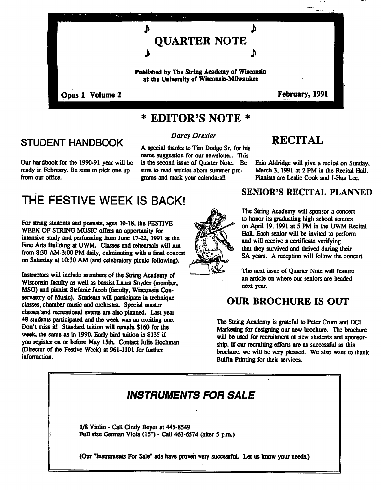

## EDITOR'S NOTE

### STUDENT HANDBOOK

Our handbook for the 1990-91 year will be ready in February. Be sure to pick one up from our office.

## Darcy Drexler

A special thanks to Tim Dodge Sr. for his name suggestion for our newsletter. This is the second issue of Quarter Note. Be sure to read articles about summer pro grams and mark your calendars!!

# THE FESTIVE WEEK IS BACK!

For string students and pianists, ages 10-18, the FESTIVE WEEK OF STRING MUSIC offers an opportunity for intensive study and performing from June 17-22,1991 at the Fine Arts Building at UWM. Classes and rehearsals will run from 8:30 AM-3:00 PM daily, culminating with a final concert on Saturday at 10:30 AM (and celebratory picnic following).

Instructors will include members of the String Academy of Wisconsin faculty as well as bassist Laura Snyder (member, MSO) and pianist Stefanie Jacob (faculty, Wisconsin Con servatory of Music). Students will participate in technique classes, chamber music and orchestra. Special master classes'and recreational events are also planned. Last year 48 students participated and the week was an exciting one. Don't miss it! Standard tuition will remain \$160 for the week, the same as in 1990. Early-bird tuition is \$135 if you register on or before May 15th. Contact Julie Hochman (Director of the Festive Week) at 961-1101 for further information.



## RECITAL

Erin Aldridge will give a recital on Sunday, March 3, 1991 at 2 PM in the Recital Hall. Pianists are Leslie Cook and I-Hua Lee.

#### SENIOR'S RECITAL PLANNED

The String Academy will sponsor a concert to honor its graduating high school seniors on April 19, 1991 at  $\overline{5}$  PM in the UWM Recital Hall. Each senior will be invited to perform and will receive a certificate verifying that they survived and thrived during their SA years. A reception will follow the concert.

The next issue of Quarter Note will feature an article on where our seniors are headed next year.

### OUR BROCHURE IS OUT

The String Academy is grateful to Peter Crum and DCI Marketing for designing our new brochure. The brochure will be used for recruitment of new students and sponsor ship. If our recruiting efforts are as successful as this brochure, we will be very pleased. We also want to thank Bulfin Printing for their services.

## INSTRUMENTS FOR SALE

1/8 Violin - Call Cindy Beyer at 445-8549 Full size German Viola  $(15")$  - Call 463-6574 (after 5 p.m.)

(Our "Instruments For Sale" ads have proven very successful. Let us know your needs.)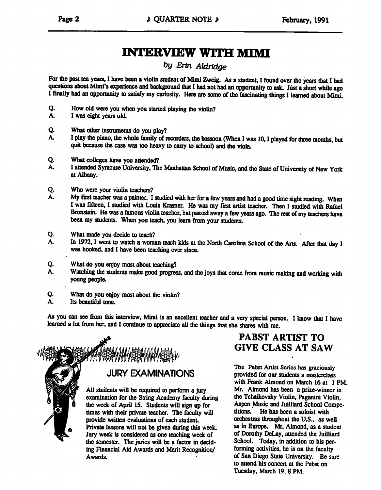## INTERVIEW WITH MIMI

#### by Erin Aldridge

For the past ten years, I have been a violin student of Mimi Zweig. As a student, I found over the years that I had questions about Mimi's experience and background that I had not had an opportunity to ask. Just a short while ago I finally had an opportunity to satisfy my curiosity. Here are some of the fascinating things I learned about Mimi.

- Q. How old were you when you started playing the violin?
- A. was eight years old.
- Q. What other instruments do you play?
- A. I play the piano, the whole family of recorders, the bassoon (When I was 10, I played for three months, but quit because the case was too heavy to carry to school) and the viola.
- Q. What colleges have you attended?
- A. I attended Syracuse University, The Manhattan School of Music, and the State of University of New York at Albany.
- Q. Who were your violin teachers?
- A. My first teacher was a painter. I studied with her for a few years and had a good time sight reading. When I was fifteen, I studied with Louis Krasner. He was my first artist teacher. Then I studied with Rafael Bronstein. He was a famous violin teacher, but passed away a few years ago. The rest of my teachers have been my students. When you teach, you learn from your students.
- Q. What made you decide to teach?
- A. In 1972, I went to watch a woman teach kids at the North Carolina School of the Arts. After that day I was hooked, and I have been teaching ever since.
- Q. What do you enjoy most about teaching?
- A. Watching the students make good progress, and the joys that come from music making and working with young people.
- Q. What do you enjoy most about the violin?
- A. Its beautiful tone.

As you can see from this interview, Mimi is an excellent teacher and a very special person. I know that I have learned a lot from her, and I continue to appreciate all the things that she shares with me.



#### PABST ARTIST TO GIVE CLASS AT SAW

The Pabst Artist Series has graciously provided for our students a masterclass with Frank Almond on March 16 at 1 PM. Mr. Almond has been a prize-winner in the Tchaikovsky Violin, Paganini Violin, Aspen Music and Juilliard School Compe titions. He has been a soloist with orchestras throughout the U.S., as well as in Europe. Mr. Almond, as student of Dorothy DeLay, attended the Juilliard School. Today, in addition to his performing activities, he is on the faculty of San Diego State University. Be sure to attend his concert at the Pabst on Tuesday, March 19, 8 PM.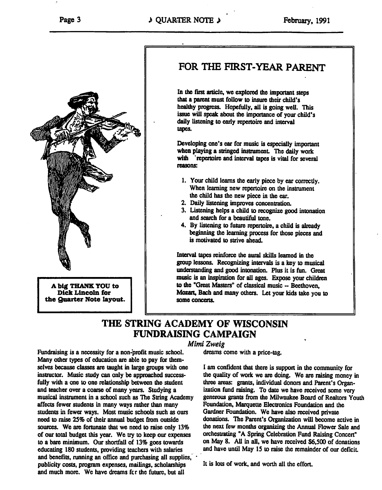

big THANK YOU to Dick Lincoln for the Quarter Note layout.

### FOR THE FIRST-YEAR PARENT

In the first article, we explored the important steps that a parent must follow to insure their child's healthy progress. Hopefully, all is going well. This issue will speak about the importance of your child's daily listening to early repertoire and interval tapes.

Developing one's ear for music is especially important when playing a stringed instrument. The daily work with repertoire and interval tapes is vital for several reasons:

- 1. Your child learns the early piece by ear correctly. When learning new repertoire on the instrument the child has the new piece in the ear.
- 2. Daily listening improves concentration.
- 3. Listening helps a child to recognize good intonation and search for a beautiful tone.
- 4. By listening to future repertoire, a child is already beginning the learning process for those pieces and is motivated to strive ahead.

Interval tapes reinforce the aural skills learned in the group lessons. Recognizing intervals is a key to musical understanding and good intonation. Plus it is fun. Great music is an inspiration for all ages. Expose your children to the "Great Masters" of classical music  $-$  Beethoven, Mozart, Bach and many others. Let your kids take you to some concerts.

#### THE STRING ACADEMY OF WISCONSIN FUNDRAISING CAMPAIGN

#### Mimi Zweig

dreams come with a price-tag.

Many other types of education are able to pay for them selves because classes are taught in large groups with one instructor. Music study can only be approached success fully with a one to one relationship between the student and teacher over a coarse of many years. Studying a musical instrument in school such as The String Academy affects fewer students in many ways rather than many students in fewer ways. Most music schools such as ours need to raise 25% of their annual budget from outside sources. We are fortunate that we need to raise only 13% of our total budget this year. We try to keep our expenses to a bare minimum. Our shortfall of 13% goes towards educating 180 students, providing teachers with salaries and benefits, running an office and purchasing all supplies, publicity costs, program expenses, mailings, scholarships and much more. We have dreams fcr the future, but all

Fundraising is a necessity for a non-profit music school.

I am confident that there is support in the community for the quality of work we are doing. We are raising money in three areas: grants, individual donors and Parent's Organ ization fund raising. To date we have received some very generous grants from the Milwaukee Board of Realtors Youth Foundation, Marquette Electronics Foundation and the Gardner Foundation. We have also received private donations. The Parent's Organization will become active in the next few months organizing the Annual Flower Sale and orchestrating "A Spring Celebration Fund Raising Concert" on May 8. All in all, we have received \$6,500 of donations and have until May IS to raise the remainder of our deficit

It is lots of work, and worth all the effort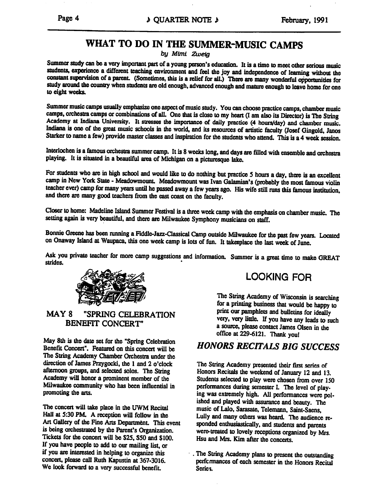### WHAT TO DO IN THE SUMMER-MUSIC CAMPS

by Mtmi Zweig

Summer study can be a very important part of a young person's education. It is a time to meet other serious music students, experience a different teaching environment and feel the joy and independence of learning without the constant supervision of a parent. (Sometimes, this is a relief for all.) There are many wonderful opportunities for study around the country when students are old enough, advanced enough and mature enough to leave home for one to eight weeks.

Summer music camps usually emphasize one aspect of music study. You can choose practice camps, chamber music camps, orchestra camps or combinations of all. One that is close to my heart (I am also its Director) is The String Academy at Indiana University. It stresses the importance of daily practice (4 hours/day) and chamber music. Indiana is one of the great music schools in the world, and its resources of artistic faculty (Josef Gingold, Janos Starker to name a few) provide master classes and inspiration for the students who attend. This is a 4 week session.

Interlochen is a famous orchestra summer camp. It is 8 weeks long, and days are filled with ensemble and orchestra playing. It is situated in a beautiful area of Michigan on a picturesque lake.

For students who are in high school and would like to do nothing but practice 5 hours a day, there is an excellent camp in New York State - Meadowmount. Meadowmount was Ivan Galamian's (probably the most famous violin teacher ever) camp for many years until he passed away a few years ago. His wife still runs this famous institution, and there are many good teachers from the east coast on the faculty.

Closer to home: Madeline Island Summer Festival is a three week camp with the emphasis on chamber music. The setting again is very beautiful, and there are Milwaukee Symphony musicians on staff.

Bonnie Greene has been running a Fiddle-Jazz-Classical Camp outside Milwaukee for the past few years. Located on Onaway Island at Waupaca, this one week camp is lots of fun. It takesplace the last week of June.

Ask you private teacher for more camp suggestions and information. Summer is great time to make GREAT strides.



#### MAY 8 "SPRING CELEBRATION BENEFIT CONCERT

May 8th is the date set for the "Spring Celebration Benefit Concert". Featured on this concert will be The String Academy Chamber Orchestra under the direction of James Przygocki, the  $1$  and  $2$  o'clock afternoon groups, and selected solos. The String Academy will honor a prominent member of the Milwaukee community who has been influential in promoting the arts.

The concert will take place in the UWM Recital Hall at 5:30 PM. A reception will follow in the Art Gallery of the Fine Arts Department. This event is being orchestrated by the Parent's Organization. Tickets for the concert will be \$25, \$50 and \$100. If you have people to add to our mailing list, or if you are interested in helping to organize this concert, please call Ruth Kapustin at 367-3016. We look forward to a very successful benefit.

### LOOKING FOR

The String Academy of Wisconsin is searching for a printing business that would be happy to print our pamphlets and bulletins for ideally very, very little. If you have any leads to such a source, please contact James Olsen in the office at 229-6121. Thank you!

#### HONORS RECITALS BIG SUCCESS

The String Academy presented their first series of Honors Recitals the weekend of January 12 and 13. Students selected to play were chosen from over ISO performances during semester I. The level of play ing was extremely high. All performances were pol ished and played with assurance and beauty. The music of Lalo, Sarasate, Telemann, Saint-Saens, Lully and many others was heard. The audience re sponded enthusiastically, and students and parents were-treated to lovely receptions organized by Mrs. Hsu and Mrs. Kim after the concerts.

The String Academy plans to present the outstanding performances of each semester in the Honors Recital Series.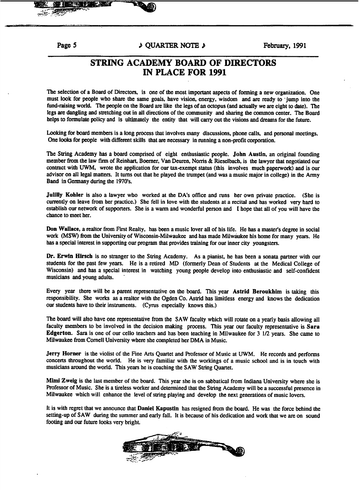#### Page 5  $\downarrow$  QUARTER NOTE  $\downarrow$  February, 1991

#### STRING ACADEMY BOARD OF DIRECTORS IN PLACE FOR <sup>1991</sup>

The selection of a Board of Directors, is one of the most important aspects of forming a new organization. One must look for people who share the same goals, have vision, energy, wisdom and are ready to 'jump into the fund-raising world. The people on the Board are like the legs of an octopus (and actually we are eight to date). The legs are dangling and stretching out in all directions of the community and sharing the common center. The Board helps to formulate policy and is ultimately the entity that will carry out the visions and dreams for the future.

Looking for board members is a long process that involves many discussions, phone calls, and personal meetings. One looks for people with different skills that are necessary in running a non-profit corporation.

The String Academy has a board comprised of eight enthusiastic people. John Austin, an original founding member from the law firm of Reinhart, Boerner, Van Deuren, Norris & Rieselbach, is the lawyer that negotiated our contract with UWM, wrote the application for our tax-exempt status (this involves much paperwork) and is our advisor on all legal matters. It turns out that he played the trumpet (and was a music major in college) in the Army Band in Germany during the 1970's.

Julilly Kohler is also a lawyer who worked at the DA's office and runs her own private practice. (She is currently on leave from her practice.) She fell in love with the students at a recital and has worked very hard to establish our network of supporters. She is a warm and wonderful person and I hope that all of you will have the chance to meet her.

Don Wallace, a realtor from First Realty, has been a music lover all of his life. He has a master's degree in social work (MSW) from the University of Wisconsin-Milwaukee and has made Milwaukee his home for many years. He has a special interest in supporting our program that provides training for our inner city youngsters.

Dr. Erwin Hirsch is no stranger to the String Academy. As a pianist, he has been a sonata partner with our students for the past few years. He is retired MD (formerly Dean of Students at the Medical College of Wisconsin) and has special interest in watching young people develop into enthusiastic and self-confident musicians and young adults.

Every year there will be a parent representative on the board. This year Astrid Beroukhim is taking this responsibility. She works as realtor with the Ogden Co. Astrid has limitless energy and knows the dedication our students have to their instruments. (Cyrus especially knows this.)

The board will also have one representative from the SAW faculty which will rotate on a yearly basis allowing all faculty members to be involved in the decision making process. This year our faculty representative is Sara Edgerton. Sara is one of our cello teachers and has been teaching in Milwaukee for 3 1/2 years. She came to Milwaukee from Cornell University where she completed her DMA in Music.

Jerry Homer is the violist of the Fine Arts Quartet and Professor of Music at UWM. He records and performs concerts throughout the world. He is very familiar with the workings of a music school and is in touch with musicians around the world. This years he is coaching the SAW String Quartet.

Mimi Zweig is the last member of the board. This year she is on sabbatical from Indiana University where she is Professor of Music. She is a tireless worker and determined that the String Academy will be a successful presence in Milwaukee which will enhance the level of string playing and develop the next generations of music lovers.

It is with regret that we announce that Daniel Kapustin has resigned from the board. He was the force behind the setting-up of SAW during the summer and early fall. It is because of his dedication and work that we are on sound footing and our future looks very bright.

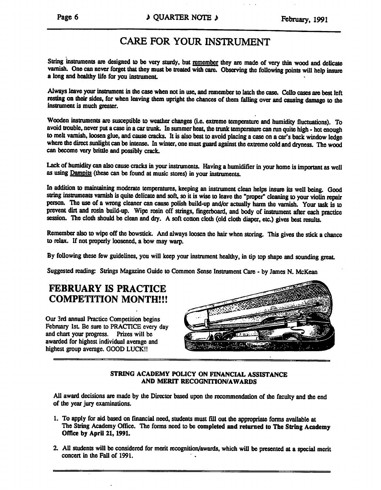### CARE FOR YOUR INSTRUMENT

String instruments are designed to be very sturdy, but remember they are made of very thin wood and delicate varnish. One can never forget that they must be treated with care. Observing the following points will help insure a long and healthy life for you instrument.

Always leave your instrument in the case when not in use, and remember to latch the case. Cello cases are best left resting on their sides, for when leaving them upright the chances of them falling over and causing damage to the instrument is much greater.

Wooden instruments are susceptible to weather changes (i.e. extreme temperature and humidity fluctuations). To avoid trouble, never put a case in a car trunk. In summer heat, the trunk temperature can run quite high - hot enough to melt varnish, loosen glue, and cause cracks. It is also best to avoid placing a case on a car's back window ledge where the direct sunlight can be intense. In winter, one must guard against the extreme cold and dryness. The wood can become very brittle and possibly crack.

Lack of humidity can also cause cracks in your instruments. Having a humidifier in your home is important as well as using Dampits (these can be found at music stores) in your instruments.

In addition to maintaining moderate temperatures, keeping an instrument clean helps insure its well being. Good string instruments varnish is quite delicate and soft, so it is wise to leave the "proper" cleaning to your violin repair person. The use of a wrong cleaner can cause polish build-up and/or actually harm the varnish. Your task is to prevent dirt and rosin build-up. Wipe rosin off strings, fingerboard, and body of instrument after each practice session. The cloth should be clean and dry. A soft cotton cloth (old cloth diaper, etc.) gives best results.

Remember also to wipe off the bowstick. And always loosen the hair when storing. This gives the stick a chance to relax. If not properly loosened, a bow may warp.

By following these few guidelines, you will keep your instrument healthy, in tip top shape and sounding great.

Suggested reading: Strings Magazine Guide to Common Sense Instrument Care - by James N. McKean

### FEBRUARY IS PRACTICE COMPETITION MONTH!!!

Our 3rd annual Practice Competition begins February 1st. Be sure to PRACTICE every day and chart your progress. Prizes will be awarded for highest individual average and highest group average. GOOD LUCK!!



STRING ACADEMY POLICY ON FINANCIAL ASSISTANCE AND MERIT RECOGNITION/AWARDS

All award decisions are made by the Director based upon the recommendation of the faculty and the end of the year jury examinations.

- 1. To apply for aid based on financial need, students must fill out the appropriate forms available at The String Academy Office. The forms need to be completed and returned to The String Academy Office by April 21, 1991.
- 2. All students will be considered for merit recognition/awards, which will be presented at a special merit concert in the Fall of 1991.